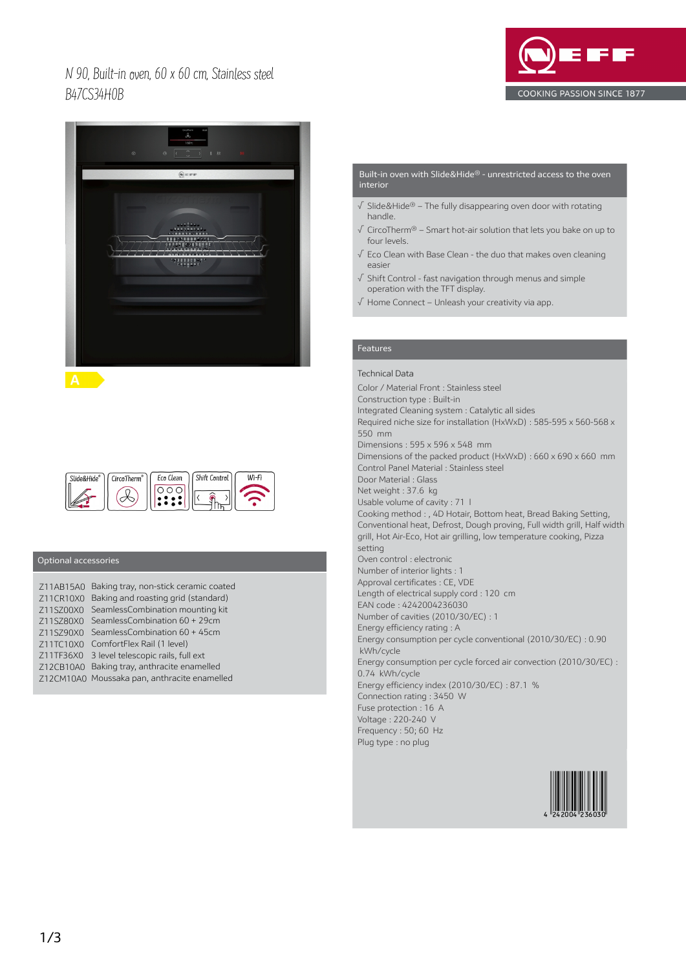## N 90, Built-in oven, 60 x 60 cm, Stainless steel B47CS34H0B





Eco Clean Shift Control  $U^T-F$ i Slide&Hide® CircoTherm<sup>®</sup> 000  $\bigcirc \!\!\! \mathcal{R}$  $\rightarrow$ 

## Optional accessories

|           | Z11AB15A0 Baking tray, non-stick ceramic coated |
|-----------|-------------------------------------------------|
| Z11CR10X0 | Baking and roasting grid (standard)             |
| Z11SZ00X0 | SeamlessCombination mounting kit                |
| Z11SZ80X0 | SeamlessCombination 60 + 29cm                   |
| 711S790X0 | SeamlessCombination 60 + 45cm                   |
| Z11TC10X0 | ComfortFlex Rail (1 level)                      |
|           | Z11TF36X0 3 level telescopic rails, full ext    |
|           | Z12CB10A0 Baking tray, anthracite enamelled     |
|           | Z12CM10A0 Moussaka pan, anthracite enamelled    |

#### Built-in oven with Slide&Hide® - unrestricted access to the oven interior

- √ Slide&Hide® The fully disappearing oven door with rotating handle.
- √ CircoTherm® Smart hot-air solution that lets you bake on up to four levels.
- √ Eco Clean with Base Clean the duo that makes oven cleaning easier
- √ Shift Control fast navigation through menus and simple operation with the TFT display.
- √ Home Connect Unleash your creativity via app.

## Features

## Technical Data

Color / Material Front : Stainless steel Construction type : Built-in Integrated Cleaning system : Catalytic all sides Required niche size for installation (HxWxD) : 585-595 x 560-568 x 550 mm Dimensions : 595 x 596 x 548 mm Dimensions of the packed product (HxWxD) : 660 x 690 x 660 mm Control Panel Material : Stainless steel Door Material : Glass Net weight : 37.6 kg Usable volume of cavity : 71 l Cooking method : , 4D Hotair, Bottom heat, Bread Baking Setting, Conventional heat, Defrost, Dough proving, Full width grill, Half width grill, Hot Air-Eco, Hot air grilling, low temperature cooking, Pizza setting Oven control : electronic Number of interior lights : 1 Approval certificates : CE, VDE Length of electrical supply cord : 120 cm EAN code : 4242004236030 Number of cavities (2010/30/EC) : 1 Energy efficiency rating : A Energy consumption per cycle conventional (2010/30/EC) : 0.90 kWh/cycle Energy consumption per cycle forced air convection (2010/30/EC) : 0.74 kWh/cycle Energy efficiency index (2010/30/EC) : 87.1 % Connection rating : 3450 W Fuse protection : 16 A Voltage : 220-240 V Frequency : 50; 60 Hz Plug type : no plug

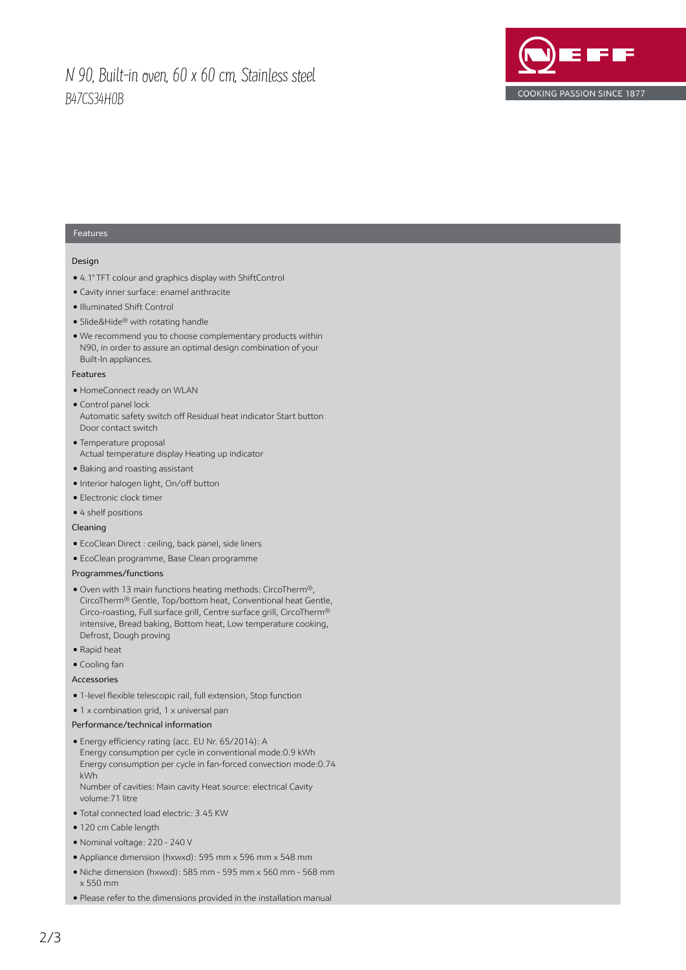# N 90, Built-in oven, 60 x 60 cm, Stainless steel B47CS34H0B



### Features

#### Design

- 4.1" TFT colour and graphics display with ShiftControl
- Cavity inner surface: enamel anthracite
- Illuminated Shift Control
- Slide&Hide® with rotating handle
- We recommend you to choose complementary products within N90, in order to assure an optimal design combination of your Built-In appliances.

#### Features

- HomeConnect ready on WLAN
- Control panel lock Automatic safety switch off Residual heat indicator Start button Door contact switch
- Temperature proposal Actual temperature display Heating up indicator
- Baking and roasting assistant
- Interior halogen light, On/off button
- Electronic clock timer
- 4 shelf positions

#### Cleaning

- EcoClean Direct : ceiling, back panel, side liners
- EcoClean programme, Base Clean programme

#### Programmes/functions

- Oven with 13 main functions heating methods: CircoTherm®, CircoTherm® Gentle, Top/bottom heat, Conventional heat Gentle, Circo-roasting, Full surface grill, Centre surface grill, CircoTherm® intensive, Bread baking, Bottom heat, Low temperature cooking, Defrost, Dough proving
- Rapid heat
- Cooling fan

#### Accessories

- 1-level flexible telescopic rail, full extension, Stop function
- 1 x combination grid, 1 x universal pan

#### Performance/technical information

● Energy efficiency rating (acc. EU Nr. 65/2014): A Energy consumption per cycle in conventional mode:0.9 kWh Energy consumption per cycle in fan-forced convection mode:0.74 kWh

Number of cavities: Main cavity Heat source: electrical Cavity volume:71 litre

- Total connected load electric: 3.45 KW
- 120 cm Cable length
- Nominal voltage: 220 240 V
- Appliance dimension (hxwxd): 595 mm x 596 mm x 548 mm
- Niche dimension (hxwxd): 585 mm 595 mm x 560 mm 568 mm x 550 mm

● Please refer to the dimensions provided in the installation manual